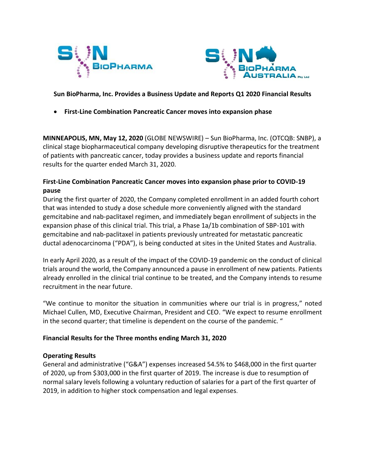



**Sun BioPharma, Inc. Provides a Business Update and Reports Q1 2020 Financial Results**

• **First-Line Combination Pancreatic Cancer moves into expansion phase** 

**MINNEAPOLIS, MN, May 12, 2020** (GLOBE NEWSWIRE) – Sun BioPharma, Inc. (OTCQB: SNBP), a clinical stage biopharmaceutical company developing disruptive therapeutics for the treatment of patients with pancreatic cancer, today provides a business update and reports financial results for the quarter ended March 31, 2020.

## **First-Line Combination Pancreatic Cancer moves into expansion phase prior to COVID-19 pause**

During the first quarter of 2020, the Company completed enrollment in an added fourth cohort that was intended to study a dose schedule more conveniently aligned with the standard gemcitabine and nab-paclitaxel regimen, and immediately began enrollment of subjects in the expansion phase of this clinical trial. This trial, a Phase 1a/1b combination of SBP-101 with gemcitabine and nab-paclitaxel in patients previously untreated for metastatic pancreatic ductal adenocarcinoma ("PDA"), is being conducted at sites in the United States and Australia.

In early April 2020, as a result of the impact of the COVID-19 pandemic on the conduct of clinical trials around the world, the Company announced a pause in enrollment of new patients. Patients already enrolled in the clinical trial continue to be treated, and the Company intends to resume recruitment in the near future.

"We continue to monitor the situation in communities where our trial is in progress," noted Michael Cullen, MD, Executive Chairman, President and CEO. "We expect to resume enrollment in the second quarter; that timeline is dependent on the course of the pandemic. "

## **Financial Results for the Three months ending March 31, 2020**

## **Operating Results**

General and administrative ("G&A") expenses increased 54.5% to \$468,000 in the first quarter of 2020, up from \$303,000 in the first quarter of 2019. The increase is due to resumption of normal salary levels following a voluntary reduction of salaries for a part of the first quarter of 2019, in addition to higher stock compensation and legal expenses.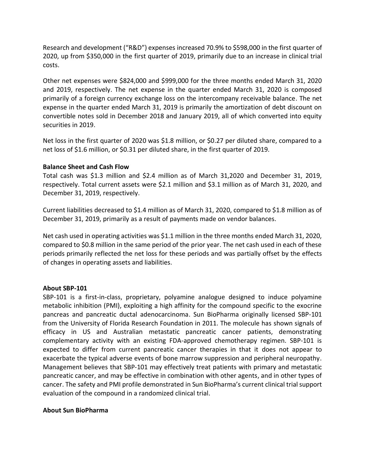Research and development ("R&D") expenses increased 70.9% to \$598,000 in the first quarter of 2020, up from \$350,000 in the first quarter of 2019, primarily due to an increase in clinical trial costs.

Other net expenses were \$824,000 and \$999,000 for the three months ended March 31, 2020 and 2019, respectively. The net expense in the quarter ended March 31, 2020 is composed primarily of a foreign currency exchange loss on the intercompany receivable balance. The net expense in the quarter ended March 31, 2019 is primarily the amortization of debt discount on convertible notes sold in December 2018 and January 2019, all of which converted into equity securities in 2019.

Net loss in the first quarter of 2020 was \$1.8 million, or \$0.27 per diluted share, compared to a net loss of \$1.6 million, or \$0.31 per diluted share, in the first quarter of 2019.

## **Balance Sheet and Cash Flow**

Total cash was \$1.3 million and \$2.4 million as of March 31,2020 and December 31, 2019, respectively. Total current assets were \$2.1 million and \$3.1 million as of March 31, 2020, and December 31, 2019, respectively.

Current liabilities decreased to \$1.4 million as of March 31, 2020, compared to \$1.8 million as of December 31, 2019, primarily as a result of payments made on vendor balances.

Net cash used in operating activities was \$1.1 million in the three months ended March 31, 2020, compared to \$0.8 million in the same period of the prior year. The net cash used in each of these periods primarily reflected the net loss for these periods and was partially offset by the effects of changes in operating assets and liabilities.

## **About SBP-101**

SBP-101 is a first-in-class, proprietary, polyamine analogue designed to induce polyamine metabolic inhibition (PMI), exploiting a high affinity for the compound specific to the exocrine pancreas and pancreatic ductal adenocarcinoma. Sun BioPharma originally licensed SBP-101 from the University of Florida Research Foundation in 2011. The molecule has shown signals of efficacy in US and Australian metastatic pancreatic cancer patients, demonstrating complementary activity with an existing FDA-approved chemotherapy regimen. SBP-101 is expected to differ from current pancreatic cancer therapies in that it does not appear to exacerbate the typical adverse events of bone marrow suppression and peripheral neuropathy. Management believes that SBP-101 may effectively treat patients with primary and metastatic pancreatic cancer, and may be effective in combination with other agents, and in other types of cancer. The safety and PMI profile demonstrated in Sun BioPharma's current clinical trialsupport evaluation of the compound in a randomized clinical trial.

## **About Sun BioPharma**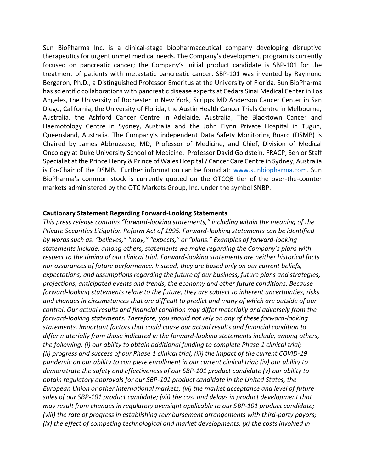Sun BioPharma Inc. is a clinical-stage biopharmaceutical company developing disruptive therapeutics for urgent unmet medical needs. The Company's development program is currently focused on pancreatic cancer; the Company's initial product candidate is SBP-101 for the treatment of patients with metastatic pancreatic cancer. SBP-101 was invented by Raymond Bergeron, Ph.D., a Distinguished Professor Emeritus at the University of Florida. Sun BioPharma has scientific collaborations with pancreatic disease experts at Cedars Sinai Medical Center in Los Angeles, the University of Rochester in New York, Scripps MD Anderson Cancer Center in San Diego, California, the University of Florida, the Austin Health Cancer Trials Centre in Melbourne, Australia, the Ashford Cancer Centre in Adelaide, Australia, The Blacktown Cancer and Haemotology Centre in Sydney, Australia and the John Flynn Private Hospital in Tugun, Queensland, Australia. The Company's independent Data Safety Monitoring Board (DSMB) is Chaired by James Abbruzzese, MD, Professor of Medicine, and Chief, Division of Medical Oncology at Duke University School of Medicine. Professor David Goldstein, FRACP, Senior Staff Specialist at the Prince Henry & Prince of Wales Hospital / Cancer Care Centre in Sydney, Australia is Co-Chair of the DSMB. Further information can be found at: [www.sunbiopharma.com.](http://www.sunbiopharma.com/) Sun BioPharma's common stock is currently quoted on the OTCQB tier of the over-the-counter markets administered by the OTC Markets Group, Inc. under the symbol SNBP.

#### **Cautionary Statement Regarding Forward-Looking Statements**

*This press release contains "forward-looking statements," including within the meaning of the Private Securities Litigation Reform Act of 1995. Forward-looking statements can be identified by words such as: "believes," "may," "expects," or "plans." Examples of forward-looking statements include, among others, statements we make regarding the Company's plans with respect to the timing of our clinical trial. Forward-looking statements are neither historical facts nor assurances of future performance. Instead, they are based only on our current beliefs, expectations, and assumptions regarding the future of our business, future plans and strategies, projections, anticipated events and trends, the economy and other future conditions. Because forward-looking statements relate to the future, they are subject to inherent uncertainties, risks and changes in circumstances that are difficult to predict and many of which are outside of our control. Our actual results and financial condition may differ materially and adversely from the forward-looking statements. Therefore, you should not rely on any of these forward-looking statements. Important factors that could cause our actual results and financial condition to differ materially from those indicated in the forward-looking statements include, among others, the following: (i) our ability to obtain additional funding to complete Phase 1 clinical trial; (ii) progress and success of our Phase 1 clinical trial; (iii) the impact of the current COVID-19 pandemic on our ability to complete enrollment in our current clinical trial; (iv) our ability to demonstrate the safety and effectiveness of our SBP-101 product candidate (v) our ability to obtain regulatory approvals for our SBP-101 product candidate in the United States, the European Union or other international markets; (vi) the market acceptance and level of future sales of our SBP-101 product candidate; (vii) the cost and delays in product development that may result from changes in regulatory oversight applicable to our SBP-101 product candidate; (viii) the rate of progress in establishing reimbursement arrangements with third-party payors; (ix) the effect of competing technological and market developments; (x) the costs involved in*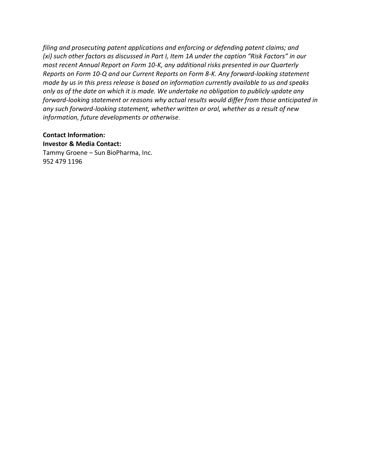*filing and prosecuting patent applications and enforcing or defending patent claims; and (xi) such other factors as discussed in Part I, Item 1A under the caption "Risk Factors" in our most recent Annual Report on Form 10-K, any additional risks presented in our Quarterly Reports on Form 10-Q and our Current Reports on Form 8-K. Any forward-looking statement made by us in this press release is based on information currently available to us and speaks only as of the date on which it is made. We undertake no obligation to publicly update any forward-looking statement or reasons why actual results would differ from those anticipated in any such forward-looking statement, whether written or oral, whether as a result of new information, future developments or otherwise*.

## **Contact Information: Investor & Media Contact:**

Tammy Groene – Sun BioPharma, Inc. 952 479 1196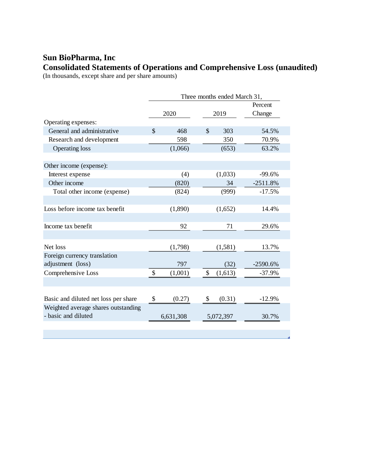## **Sun BioPharma, Inc Consolidated Statements of Operations and Comprehensive Loss (unaudited)**

(In thousands, except share and per share amounts)

|                                      | Three months ended March 31, |           |               |           |                   |  |  |
|--------------------------------------|------------------------------|-----------|---------------|-----------|-------------------|--|--|
|                                      | 2020                         |           | 2019          |           | Percent<br>Change |  |  |
| Operating expenses:                  |                              |           |               |           |                   |  |  |
| General and administrative           | $\mathcal{S}$                | 468       | $\mathcal{S}$ | 303       | 54.5%             |  |  |
| Research and development             |                              | 598       |               | 350       | 70.9%             |  |  |
| <b>Operating loss</b>                |                              | (1,066)   |               | (653)     | 63.2%             |  |  |
|                                      |                              |           |               |           |                   |  |  |
| Other income (expense):              |                              |           |               |           |                   |  |  |
| Interest expense                     |                              | (4)       |               | (1,033)   | $-99.6%$          |  |  |
| Other income                         |                              | (820)     |               | 34        | $-2511.8%$        |  |  |
| Total other income (expense)         |                              | (824)     |               | (999)     | $-17.5%$          |  |  |
|                                      |                              |           |               |           |                   |  |  |
| Loss before income tax benefit       |                              | (1,890)   |               | (1,652)   | 14.4%             |  |  |
|                                      |                              |           |               |           |                   |  |  |
| Income tax benefit                   |                              | 92        |               | 71        | 29.6%             |  |  |
|                                      |                              |           |               |           |                   |  |  |
| Net loss                             |                              | (1,798)   |               | (1,581)   | 13.7%             |  |  |
| Foreign currency translation         |                              |           |               |           |                   |  |  |
| adjustment (loss)                    |                              | 797       |               | (32)      | $-2590.6%$        |  |  |
| Comprehensive Loss                   | \$                           | (1,001)   | \$            | (1,613)   | $-37.9%$          |  |  |
|                                      |                              |           |               |           |                   |  |  |
|                                      |                              |           |               |           |                   |  |  |
| Basic and diluted net loss per share | \$                           | (0.27)    | \$            | (0.31)    | $-12.9%$          |  |  |
| Weighted average shares outstanding  |                              |           |               |           |                   |  |  |
| - basic and diluted                  |                              | 6,631,308 |               | 5,072,397 | 30.7%             |  |  |
|                                      |                              |           |               |           |                   |  |  |
|                                      |                              |           |               |           |                   |  |  |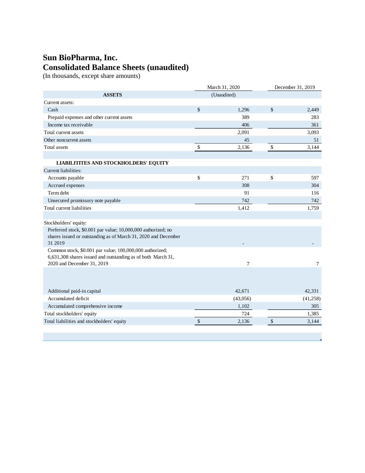## **Sun BioPharma, Inc. Consolidated Balance Sheets (unaudited)**

(In thousands, except share amounts)

|                                                                                                                          |             | March 31, 2020 | December 31, 2019 |          |  |
|--------------------------------------------------------------------------------------------------------------------------|-------------|----------------|-------------------|----------|--|
| <b>ASSETS</b>                                                                                                            | (Unaudited) |                |                   |          |  |
| Current assets:                                                                                                          |             |                |                   |          |  |
| Cash                                                                                                                     | \$          | 1,296          | \$                | 2,449    |  |
| Prepaid expenses and other current assets                                                                                |             | 389            |                   | 283      |  |
| Income tax receivable                                                                                                    |             | 406            |                   | 361      |  |
| Total current assets                                                                                                     |             | 2,091          |                   | 3,093    |  |
| Other noncurrent assets                                                                                                  |             | 45             |                   | 51       |  |
| Total assets                                                                                                             | \$          | 2,136          | \$                | 3,144    |  |
|                                                                                                                          |             |                |                   |          |  |
| <b>LIABILITITES AND STOCKHOLDERS' EQUITY</b>                                                                             |             |                |                   |          |  |
| Current liabilities:                                                                                                     |             |                |                   |          |  |
| Accounts payable                                                                                                         | \$          | 271            | \$                | 597      |  |
| Accrued expenses                                                                                                         |             | 308            |                   | 304      |  |
| Term debt                                                                                                                |             | 91             |                   | 116      |  |
| Unsecured promissory note payable                                                                                        |             | 742            |                   | 742      |  |
| Total current liabilities                                                                                                |             | 1,412          |                   | 1,759    |  |
|                                                                                                                          |             |                |                   |          |  |
| Stockholders' equity:                                                                                                    |             |                |                   |          |  |
| Preferred stock, \$0.001 par value; 10,000,000 authorized; no                                                            |             |                |                   |          |  |
| shares issued or outstanding as of March 31, 2020 and December                                                           |             |                |                   |          |  |
| 31 2019                                                                                                                  |             |                |                   |          |  |
| Common stock, \$0.001 par value; 100,000,000 authorized;<br>6,631,308 shares issued and outstanding as of both March 31, |             |                |                   |          |  |
| 2020 and December 31, 2019                                                                                               |             | $\overline{7}$ |                   | 7        |  |
|                                                                                                                          |             |                |                   |          |  |
|                                                                                                                          |             |                |                   |          |  |
|                                                                                                                          |             |                |                   |          |  |
| Additional paid-in capital                                                                                               |             | 42,671         |                   | 42,331   |  |
| Accumulated deficit                                                                                                      |             | (43,056)       |                   | (41,258) |  |
| Accumulated comprehensive income                                                                                         |             | 1,102          |                   | 305      |  |
| Total stockholders' equity                                                                                               |             | 724            |                   | 1,385    |  |
| Total liabilities and stockholders' equity                                                                               | $\sqrt$     | 2,136          | $\sqrt$           | 3,144    |  |
|                                                                                                                          |             |                |                   |          |  |
|                                                                                                                          |             |                |                   |          |  |